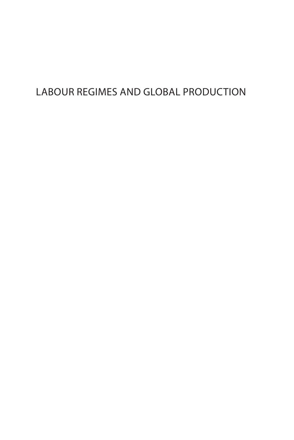# LABOUR REGIMES AND GLOBAL PRODUCTION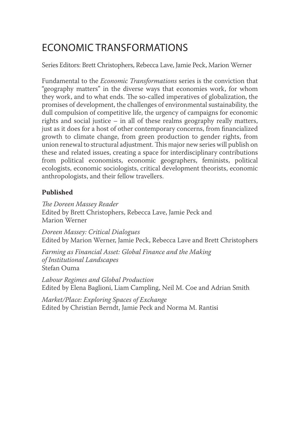# ECONOMIC TRANSFORMATIONS

Series Editors: Brett Christophers, Rebecca Lave, Jamie Peck, Marion Werner

Fundamental to the *Economic Transformations* series is the conviction that "geography matters" in the diverse ways that economies work, for whom they work, and to what ends. The so-called imperatives of globalization, the promises of development, the challenges of environmental sustainability, the dull compulsion of competitive life, the urgency of campaigns for economic rights and social justice – in all of these realms geography really matters, just as it does for a host of other contemporary concerns, from financialized growth to climate change, from green production to gender rights, from union renewal to structural adjustment. This major new series will publish on these and related issues, creating a space for interdisciplinary contributions from political economists, economic geographers, feminists, political ecologists, economic sociologists, critical development theorists, economic anthropologists, and their fellow travellers.

### **Published**

*The Doreen Massey Reader* Edited by Brett Christophers, Rebecca Lave, Jamie Peck and Marion Werner

*Doreen Massey: Critical Dialogues* Edited by Marion Werner, Jamie Peck, Rebecca Lave and Brett Christophers

*Farming as Financial Asset: Global Finance and the Making of Institutional Landscapes* Stefan Ouma

*Labour Regimes and Global Production* Edited by Elena Baglioni, Liam Campling, Neil M. Coe and Adrian Smith

*Market/Place: Exploring Spaces of Exchange* Edited by Christian Berndt, Jamie Peck and Norma M. Rantisi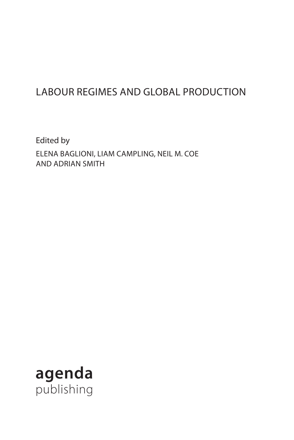# LABOUR REGIMES AND GLOBAL PRODUCTION

Edited by ELENA BAGLIONI, LIAM CAMPLING, NEIL M. COE AND ADRIAN SMITH

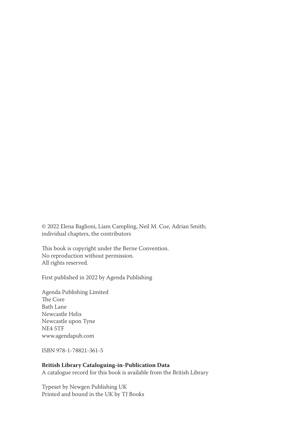© 2022 Elena Baglioni, Liam Campling, Neil M. Coe, Adrian Smith; individual chapters, the contributors

This book is copyright under the Berne Convention. No reproduction without permission. All rights reserved.

First published in 2022 by Agenda Publishing

Agenda Publishing Limited The Core Bath Lane Newcastle Helix Newcastle upon Tyne NE4 5TF www.agendapub.com

ISBN 978-1-78821-361-5

#### **British Library Cataloguing-in-Publication Data**

A catalogue record for this book is available from the British Library

Typeset by Newgen Publishing UK Printed and bound in the UK by TJ Books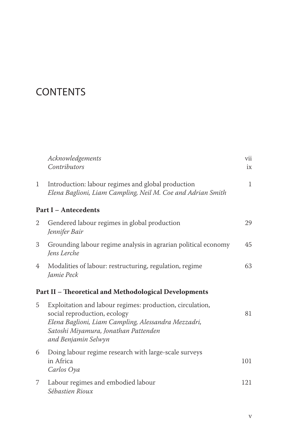# **CONTENTS**

|              | Acknowledgements<br>Contributors                                                                                                                                                                                | vii<br>ix    |
|--------------|-----------------------------------------------------------------------------------------------------------------------------------------------------------------------------------------------------------------|--------------|
| $\mathbf{1}$ | Introduction: labour regimes and global production<br>Elena Baglioni, Liam Campling, Neil M. Coe and Adrian Smith                                                                                               | $\mathbf{1}$ |
|              | <b>Part I - Antecedents</b>                                                                                                                                                                                     |              |
| 2            | Gendered labour regimes in global production<br>Jennifer Bair                                                                                                                                                   | 29           |
| 3            | Grounding labour regime analysis in agrarian political economy<br>Jens Lerche                                                                                                                                   | 45           |
| 4            | Modalities of labour: restructuring, regulation, regime<br>Jamie Peck                                                                                                                                           | 63           |
|              | Part II - Theoretical and Methodological Developments                                                                                                                                                           |              |
| 5            | Exploitation and labour regimes: production, circulation,<br>social reproduction, ecology<br>Elena Baglioni, Liam Campling, Alessandra Mezzadri,<br>Satoshi Miyamura, Jonathan Pattenden<br>and Benjamin Selwyn | 81           |
| 6            | Doing labour regime research with large-scale surveys<br>in Africa<br>Carlos Oya                                                                                                                                | 101          |
| 7            | Labour regimes and embodied labour<br>Sébastien Rioux                                                                                                                                                           | 121          |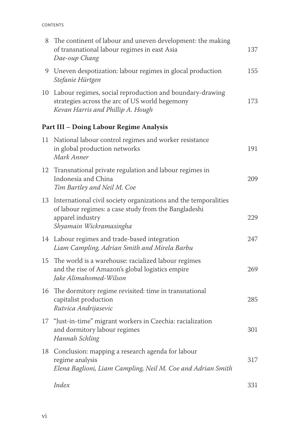| 8  | The continent of labour and uneven development: the making<br>of transnational labour regimes in east Asia<br>Dae-oup Chang                                            | 137 |
|----|------------------------------------------------------------------------------------------------------------------------------------------------------------------------|-----|
| 9  | Uneven despotization: labour regimes in glocal production<br>Stefanie Hürtgen                                                                                          | 155 |
| 10 | Labour regimes, social reproduction and boundary-drawing<br>strategies across the arc of US world hegemony<br>Kevan Harris and Phillip A. Hough                        | 173 |
|    | Part III - Doing Labour Regime Analysis                                                                                                                                |     |
| 11 | National labour control regimes and worker resistance<br>in global production networks<br>Mark Anner                                                                   | 191 |
| 12 | Transnational private regulation and labour regimes in<br>Indonesia and China<br>Tim Bartley and Neil M. Coe                                                           | 209 |
| 13 | International civil society organizations and the temporalities<br>of labour regimes: a case study from the Bangladeshi<br>apparel industry<br>Shyamain Wickramasingha | 229 |
|    | 14 Labour regimes and trade-based integration<br>Liam Campling, Adrian Smith and Mirela Barbu                                                                          | 247 |
| 15 | The world is a warehouse: racialized labour regimes<br>and the rise of Amazon's global logistics empire<br>Jake Alimahomed-Wilson                                      | 269 |
|    | 16 The dormitory regime revisited: time in transnational<br>capitalist production<br>Rutvica Andrijasevic                                                              | 285 |
|    | 17 "Just-in-time" migrant workers in Czechia: racialization<br>and dormitory labour regimes<br>Hannah Schling                                                          | 301 |
| 18 | Conclusion: mapping a research agenda for labour<br>regime analysis<br>Elena Baglioni, Liam Campling, Neil M. Coe and Adrian Smith                                     | 317 |
|    | Index                                                                                                                                                                  | 331 |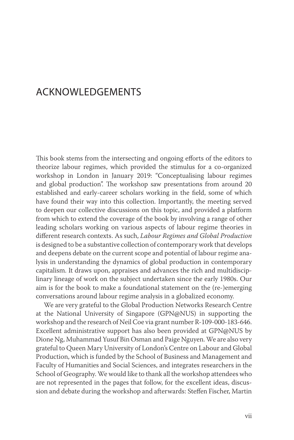### ACKNOWLEDGEMENTS

This book stems from the intersecting and ongoing efforts of the editors to theorize labour regimes, which provided the stimulus for a co-organized workshop in London in January 2019: "Conceptualising labour regimes and global production". The workshop saw presentations from around 20 established and early-career scholars working in the field, some of which have found their way into this collection. Importantly, the meeting served to deepen our collective discussions on this topic, and provided a platform from which to extend the coverage of the book by involving a range of other leading scholars working on various aspects of labour regime theories in different research contexts. As such, *Labour Regimes and Global Production* is designed to be a substantive collection of contemporary work that develops and deepens debate on the current scope and potential of labour regime analysis in understanding the dynamics of global production in contemporary capitalism. It draws upon, appraises and advances the rich and multidisciplinary lineage of work on the subject undertaken since the early 1980s. Our aim is for the book to make a foundational statement on the (re-)emerging conversations around labour regime analysis in a globalized economy.

We are very grateful to the Global Production Networks Research Centre at the National University of Singapore (GPN@NUS) in supporting the workshop and the research of Neil Coe via grant number R-109-000-183-646. Excellent administrative support has also been provided at GPN@NUS by Dione Ng, Muhammad Yusuf Bin Osman and Paige Nguyen. We are also very grateful to Queen Mary University of London's Centre on Labour and Global Production, which is funded by the School of Business and Management and Faculty of Humanities and Social Sciences, and integrates researchers in the School of Geography. We would like to thank all the workshop attendees who are not represented in the pages that follow, for the excellent ideas, discussion and debate during the workshop and afterwards: Steffen Fischer, Martin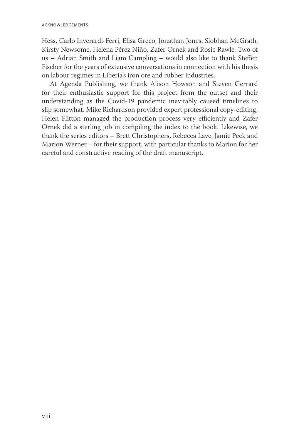Hess, Carlo Inverardi-Ferri, Elisa Greco, Jonathan Jones, Siobhan McGrath, Kirsty Newsome, Helena Pérez Niño, Zafer Ornek and Rosie Rawle. Two of us – Adrian Smith and Liam Campling – would also like to thank Steffen Fischer for the years of extensive conversations in connection with his thesis on labour regimes in Liberia's iron ore and rubber industries.

At Agenda Publishing, we thank Alison Howson and Steven Gerrard for their enthusiastic support for this project from the outset and their understanding as the Covid-19 pandemic inevitably caused timelines to slip somewhat. Mike Richardson provided expert professional copy-editing, Helen Flitton managed the production process very efficiently and Zafer Ornek did a sterling job in compiling the index to the book. Likewise, we thank the series editors – Brett Christophers, Rebecca Lave, Jamie Peck and Marion Werner – for their support, with particular thanks to Marion for her careful and constructive reading of the draft manuscript.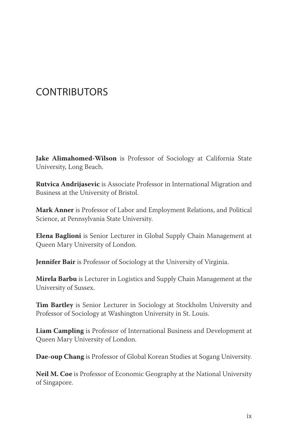# **CONTRIBUTORS**

**Jake Alimahomed-Wilson** is Professor of Sociology at California State University, Long Beach.

**Rutvica Andrijasevic** is Associate Professor in International Migration and Business at the University of Bristol.

**Mark Anner** is Professor of Labor and Employment Relations, and Political Science, at Pennsylvania State University.

**Elena Baglioni** is Senior Lecturer in Global Supply Chain Management at Queen Mary University of London.

**Jennifer Bair** is Professor of Sociology at the University of Virginia.

**Mirela Barbu** is Lecturer in Logistics and Supply Chain Management at the University of Sussex.

**Tim Bartley** is Senior Lecturer in Sociology at Stockholm University and Professor of Sociology at Washington University in St. Louis.

**Liam Campling** is Professor of International Business and Development at Queen Mary University of London.

**Dae-oup Chang** is Professor of Global Korean Studies at Sogang University.

**Neil M. Coe** is Professor of Economic Geography at the National University of Singapore.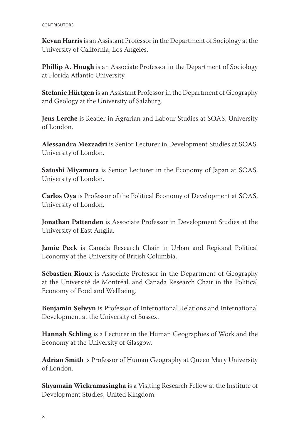**Kevan Harris** is an Assistant Professor in the Department of Sociology at the University of California, Los Angeles.

**Phillip A. Hough** is an Associate Professor in the Department of Sociology at Florida Atlantic University.

**Stefanie Hürtgen** is an Assistant Professor in the Department of Geography and Geology at the University of Salzburg.

**Jens Lerche** is Reader in Agrarian and Labour Studies at SOAS, University of London.

**Alessandra Mezzadri** is Senior Lecturer in Development Studies at SOAS, University of London.

**Satoshi Miyamura** is Senior Lecturer in the Economy of Japan at SOAS, University of London.

**Carlos Oya** is Professor of the Political Economy of Development at SOAS, University of London.

**Jonathan Pattenden** is Associate Professor in Development Studies at the University of East Anglia.

**Jamie Peck** is Canada Research Chair in Urban and Regional Political Economy at the University of British Columbia.

**Sébastien Rioux** is Associate Professor in the Department of Geography at the Université de Montréal, and Canada Research Chair in the Political Economy of Food and Wellbeing.

**Benjamin Selwyn** is Professor of International Relations and International Development at the University of Sussex.

**Hannah Schling** is a Lecturer in the Human Geographies of Work and the Economy at the University of Glasgow.

**Adrian Smith** is Professor of Human Geography at Queen Mary University of London.

**Shyamain Wickramasingha** is a Visiting Research Fellow at the Institute of Development Studies, United Kingdom.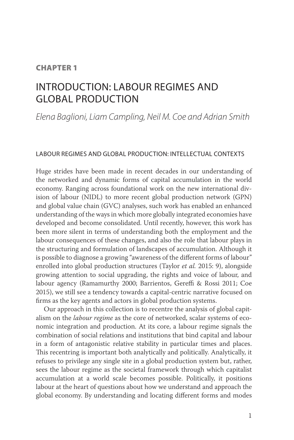### CHAPTER 1

## INTRODUCTION: LABOUR REGIMES AND GLOBAL PRODUCTION

*Elena Baglioni, Liam Campling, Neil M. Coe and Adrian Smith*

#### LABOUR REGIMES AND GLOBAL PRODUCTION: INTELLECTUAL CONTEXTS

Huge strides have been made in recent decades in our understanding of the networked and dynamic forms of capital accumulation in the world economy. Ranging across foundational work on the new international division of labour (NIDL) to more recent global production network (GPN) and global value chain (GVC) analyses, such work has enabled an enhanced understanding of the ways in which more globally integrated economies have developed and become consolidated. Until recently, however, this work has been more silent in terms of understanding both the employment and the labour consequences of these changes, and also the role that labour plays in the structuring and formulation of landscapes of accumulation. Although it is possible to diagnose a growing "awareness of the different forms of labour" enrolled into global production structures (Taylor *et al.* 2015: 9), alongside growing attention to social upgrading, the rights and voice of labour, and labour agency (Ramamurthy 2000; Barrientos, Gereffi & Rossi 2011; Coe 2015), we still see a tendency towards a capital-centric narrative focused on firms as the key agents and actors in global production systems.

Our approach in this collection is to recentre the analysis of global capitalism on the *labour regime* as the core of networked, scalar systems of economic integration and production. At its core, a labour regime signals the combination of social relations and institutions that bind capital and labour in a form of antagonistic relative stability in particular times and places. This recentring is important both analytically and politically. Analytically, it refuses to privilege any single site in a global production system but, rather, sees the labour regime as the societal framework through which capitalist accumulation at a world scale becomes possible. Politically, it positions labour at the heart of questions about how we understand and approach the global economy. By understanding and locating different forms and modes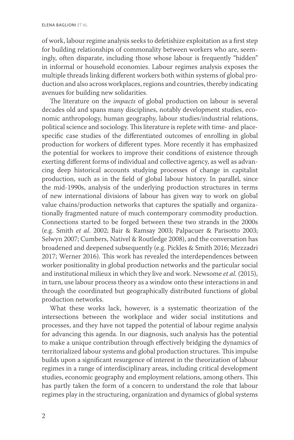of work, labour regime analysis seeks to defetishize exploitation as a first step for building relationships of commonality between workers who are, seemingly, often disparate, including those whose labour is frequently "hidden" in informal or household economies. Labour regimes analysis exposes the multiple threads linking different workers both within systems of global production and also across workplaces, regions and countries, thereby indicating avenues for building new solidarities.

The literature on the *impacts* of global production on labour is several decades old and spans many disciplines, notably development studies, economic anthropology, human geography, labour studies/industrial relations, political science and sociology. This literature is replete with time- and placespecific case studies of the differentiated outcomes of enrolling in global production for workers of different types. More recently it has emphasized the potential for workers to improve their conditions of existence through exerting different forms of individual and collective agency, as well as advancing deep historical accounts studying processes of change in capitalist production, such as in the field of global labour history. In parallel, since the mid-1990s, analysis of the underlying production structures in terms of new international divisions of labour has given way to work on global value chains/production networks that captures the spatially and organizationally fragmented nature of much contemporary commodity production. Connections started to be forged between these two strands in the 2000s (e.g. Smith *et al*. 2002; Bair & Ramsay 2003; Palpacuer & Parisotto 2003; Selwyn 2007; Cumbers, Nativel & Routledge 2008), and the conversation has broadened and deepened subsequently (e.g. Pickles & Smith 2016; Mezzadri 2017; Werner 2016). This work has revealed the interdependences between worker positionality in global production networks and the particular social and institutional milieux in which they live and work. Newsome *et al.* (2015), in turn, use labour process theory as a window onto these interactions in and through the coordinated but geographically distributed functions of global production networks.

What these works lack, however, is a systematic theorization of the intersections between the workplace and wider social institutions and processes, and they have not tapped the potential of labour regime analysis for advancing this agenda. In our diagnosis, such analysis has the potential to make a unique contribution through effectively bridging the dynamics of territorialized labour systems and global production structures. This impulse builds upon a significant resurgence of interest in the theorization of labour regimes in a range of interdisciplinary areas, including critical development studies, economic geography and employment relations, among others. This has partly taken the form of a concern to understand the role that labour regimes play in the structuring, organization and dynamics of global systems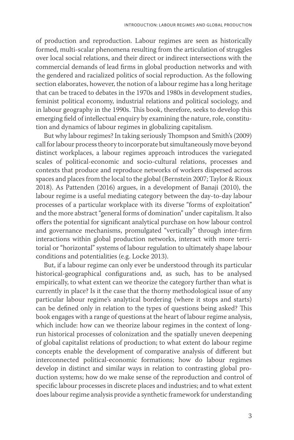of production and reproduction. Labour regimes are seen as historically formed, multi-scalar phenomena resulting from the articulation of struggles over local social relations, and their direct or indirect intersections with the commercial demands of lead firms in global production networks and with the gendered and racialized politics of social reproduction. As the following section elaborates, however, the notion of a labour regime has a long heritage that can be traced to debates in the 1970s and 1980s in development studies, feminist political economy, industrial relations and political sociology, and in labour geography in the 1990s. This book, therefore, seeks to develop this emerging field of intellectual enquiry by examining the nature, role, constitution and dynamics of labour regimes in globalizing capitalism.

But why labour regimes? In taking seriously Thompson and Smith's (2009) call for labour process theory to incorporate but simultaneously move beyond distinct workplaces, a labour regimes approach introduces the variegated scales of political-economic and socio-cultural relations, processes and contexts that produce and reproduce networks of workers dispersed across spaces and places from the local to the global (Bernstein 2007; Taylor & Rioux 2018). As Pattenden (2016) argues, in a development of Banaji (2010), the labour regime is a useful mediating category between the day-to-day labour processes of a particular workplace with its diverse "forms of exploitation" and the more abstract "general forms of domination" under capitalism. It also offers the potential for significant analytical purchase on how labour control and governance mechanisms, promulgated "vertically" through inter-firm interactions within global production networks, interact with more territorial or "horizontal" systems of labour regulation to ultimately shape labour conditions and potentialities (e.g. Locke 2013).

But, if a labour regime can only ever be understood through its particular historical-geographical configurations and, as such, has to be analysed empirically, to what extent can we theorize the category further than what is currently in place? Is it the case that the thorny methodological issue of any particular labour regime's analytical bordering (where it stops and starts) can be defined only in relation to the types of questions being asked? This book engages with a range of questions at the heart of labour regime analysis, which include: how can we theorize labour regimes in the context of longrun historical processes of colonization and the spatially uneven deepening of global capitalist relations of production; to what extent do labour regime concepts enable the development of comparative analysis of different but interconnected political-economic formations; how do labour regimes develop in distinct and similar ways in relation to contrasting global production systems; how do we make sense of the reproduction and control of specific labour processes in discrete places and industries; and to what extent does labour regime analysis provide a synthetic framework for understanding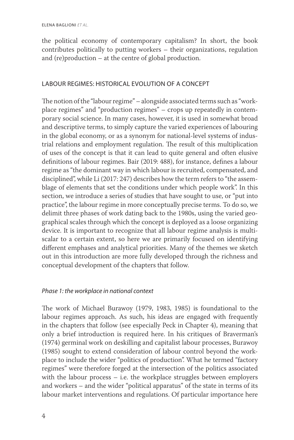the political economy of contemporary capitalism? In short, the book contributes politically to putting workers – their organizations, regulation and (re)production – at the centre of global production.

### LABOUR REGIMES: HISTORICAL EVOLUTION OF A CONCEPT

The notion of the "labour regime" – alongside associated terms such as "workplace regimes" and "production regimes" – crops up repeatedly in contemporary social science. In many cases, however, it is used in somewhat broad and descriptive terms, to simply capture the varied experiences of labouring in the global economy, or as a synonym for national-level systems of industrial relations and employment regulation. The result of this multiplication of uses of the concept is that it can lead to quite general and often elusive definitions of labour regimes. Bair (2019: 488), for instance, defines a labour regime as "the dominant way in which labour is recruited, compensated, and disciplined", while Li (2017: 247) describes how the term refers to "the assemblage of elements that set the conditions under which people work". In this section, we introduce a series of studies that have sought to use, or "put into practice", the labour regime in more conceptually precise terms. To do so, we delimit three phases of work dating back to the 1980s, using the varied geographical scales through which the concept is deployed as a loose organizing device. It is important to recognize that all labour regime analysis is multiscalar to a certain extent, so here we are primarily focused on identifying different emphases and analytical priorities. Many of the themes we sketch out in this introduction are more fully developed through the richness and conceptual development of the chapters that follow.

### *Phase 1: the workplace in national context*

The work of Michael Burawoy (1979, 1983, 1985) is foundational to the labour regimes approach. As such, his ideas are engaged with frequently in the chapters that follow (see especially Peck in Chapter 4), meaning that only a brief introduction is required here. In his critiques of Braverman's (1974) germinal work on deskilling and capitalist labour processes, Burawoy (1985) sought to extend consideration of labour control beyond the workplace to include the wider "politics of production". What he termed "factory regimes" were therefore forged at the intersection of the politics associated with the labour process – i.e. the workplace struggles between employers and workers – and the wider "political apparatus" of the state in terms of its labour market interventions and regulations. Of particular importance here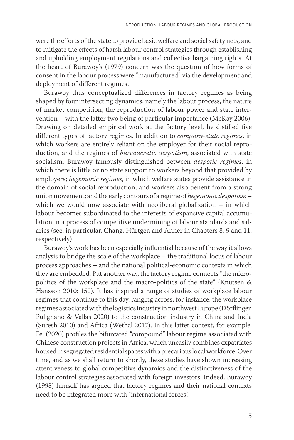were the efforts of the state to provide basic welfare and social safety nets, and to mitigate the effects of harsh labour control strategies through establishing and upholding employment regulations and collective bargaining rights. At the heart of Burawoy's (1979) concern was the question of how forms of consent in the labour process were "manufactured" via the development and deployment of different regimes.

Burawoy thus conceptualized differences in factory regimes as being shaped by four intersecting dynamics, namely the labour process, the nature of market competition, the reproduction of labour power and state intervention – with the latter two being of particular importance (McKay 2006). Drawing on detailed empirical work at the factory level, he distilled five different types of factory regimes. In addition to *company-state regimes*, in which workers are entirely reliant on the employer for their social reproduction, and the regimes of *bureaucratic despotism*, associated with state socialism, Burawoy famously distinguished between *despotic regimes*, in which there is little or no state support to workers beyond that provided by employers; *hegemonic regimes*, in which welfare states provide assistance in the domain of social reproduction, and workers also benefit from a strong union movement; and the early contours of a regime of *hegemonic despotism* – which we would now associate with neoliberal globalization - in which labour becomes subordinated to the interests of expansive capital accumulation in a process of competitive undermining of labour standards and salaries (see, in particular, Chang, Hürtgen and Anner in Chapters 8, 9 and 11, respectively).

Burawoy's work has been especially influential because of the way it allows analysis to bridge the scale of the workplace – the traditional locus of labour process approaches – and the national political-economic contexts in which they are embedded. Put another way, the factory regime connects "the micropolitics of the workplace and the macro-politics of the state" (Knutsen & Hansson 2010: 159). It has inspired a range of studies of workplace labour regimes that continue to this day, ranging across, for instance, the workplace regimes associated with the logistics industry in northwest Europe (Dörflinger, Pulignano & Vallas 2020) to the construction industry in China and India (Suresh 2010) and Africa (Wethal 2017). In this latter context, for example, Fei (2020) profiles the bifurcated "compound" labour regime associated with Chinese construction projects in Africa, which uneasily combines expatriates housed in segregated residential spaces with a precarious local workforce. Over time, and as we shall return to shortly, these studies have shown increasing attentiveness to global competitive dynamics and the distinctiveness of the labour control strategies associated with foreign investors. Indeed, Burawoy (1998) himself has argued that factory regimes and their national contexts need to be integrated more with "international forces".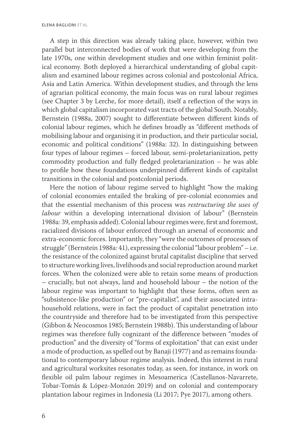A step in this direction was already taking place, however, within two parallel but interconnected bodies of work that were developing from the late 1970s, one within development studies and one within feminist political economy. Both deployed a hierarchical understanding of global capitalism and examined labour regimes across colonial and postcolonial Africa, Asia and Latin America. Within development studies, and through the lens of agrarian political economy, the main focus was on rural labour regimes (see Chapter 3 by Lerche, for more detail), itself a reflection of the ways in which global capitalism incorporated vast tracts of the global South. Notably, Bernstein (1988a, 2007) sought to differentiate between different kinds of colonial labour regimes, which he defines broadly as "different methods of mobilising labour and organising it in production, and their particular social, economic and political conditions" (1988a: 32). In distinguishing between four types of labour regimes – forced labour, semi-proletarianization, petty commodity production and fully fledged proletarianization – he was able to profile how these foundations underpinned different kinds of capitalist transitions in the colonial and postcolonial periods.

Here the notion of labour regime served to highlight "how the making of colonial economies entailed the braking of pre-colonial economies and that the essential mechanism of this process was *restructuring the uses of labour* within a developing international division of labour" (Bernstein 1988a: 39, emphasis added). Colonial labour regimes were, first and foremost, racialized divisions of labour enforced through an arsenal of economic and extra-economic forces. Importantly, they "were the outcomes of processes of struggle" (Bernstein 1988a: 41), expressing the colonial "labour problem" – i.e. the resistance of the colonized against brutal capitalist discipline that served to structure working lives, livelihoods and social reproduction around market forces. When the colonized were able to retain some means of production – crucially, but not always, land and household labour – the notion of the labour regime was important to highlight that these forms, often seen as "subsistence-like production" or "pre-capitalist", and their associated intrahousehold relations, were in fact the product of capitalist penetration into the countryside and therefore had to be investigated from this perspective (Gibbon & Neocosmos 1985; Bernstein 1988b). This understanding of labour regimes was therefore fully cognizant of the difference between "modes of production" and the diversity of "forms of exploitation" that can exist under a mode of production, as spelled out by Banaji (1977) and as remains foundational to contemporary labour regime analysis. Indeed, this interest in rural and agricultural worksites resonates today, as seen, for instance, in work on flexible oil palm labour regimes in Mesoamerica (Castellanos-Navarrete, Tobar-Tomás & López-Monzón 2019) and on colonial and contemporary plantation labour regimes in Indonesia (Li 2017; Pye 2017), among others.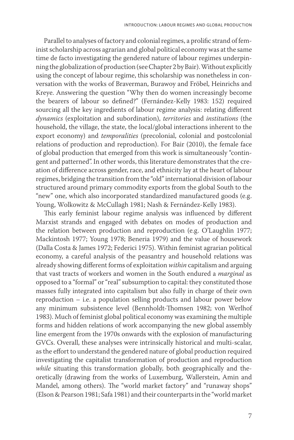Parallel to analyses of factory and colonial regimes, a prolific strand of feminist scholarship across agrarian and global political economy was at the same time de facto investigating the gendered nature of labour regimes underpinning the globalization of production (see Chapter 2 by Bair). Without explicitly using the concept of labour regime, this scholarship was nonetheless in conversation with the works of Braverman, Burawoy and Fröbel, Heinrichs and Kreye. Answering the question "Why then do women increasingly become the bearers of labour so defined?" (Fernández-Kelly 1983: 152) required sourcing all the key ingredients of labour regime analysis: relating different *dynamics* (exploitation and subordination), *territories* and *institutions* (the household, the village, the state, the local/global interactions inherent to the export economy) and *temporalities* (precolonial, colonial and postcolonial relations of production and reproduction). For Bair (2010), the female face of global production that emerged from this work is simultaneously "contingent and patterned". In other words, this literature demonstrates that the creation of difference across gender, race, and ethnicity lay at the heart of labour regimes, bridging the transition from the "old" international division of labour structured around primary commodity exports from the global South to the "new" one, which also incorporated standardized manufactured goods (e.g. Young, Wolkowitz & McCullagh 1981; Nash & Fernández-Kelly 1983).

This early feminist labour regime analysis was influenced by different Marxist strands and engaged with debates on modes of production and the relation between production and reproduction (e.g. O'Laughlin 1977; Mackintosh 1977; Young 1978; Beneria 1979) and the value of housework (Dalla Costa & James 1972; Federici 1975). Within feminist agrarian political economy, a careful analysis of the peasantry and household relations was already showing different forms of exploitation *within* capitalism and arguing that vast tracts of workers and women in the South endured a *marginal* as opposed to a "formal" or "real" subsumption to capital: they constituted those masses fully integrated into capitalism but also fully in charge of their own reproduction – i.e. a population selling products and labour power below any minimum subsistence level (Bennholdt-Thomsen 1982; von Werlhof 1983). Much of feminist global political economy was examining the multiple forms and hidden relations of work accompanying the new global assembly line emergent from the 1970s onwards with the explosion of manufacturing GVCs. Overall, these analyses were intrinsically historical and multi-scalar, as the effort to understand the gendered nature of global production required investigating the capitalist transformation of production and reproduction *while* situating this transformation globally, both geographically and theoretically (drawing from the works of Luxemburg, Wallerstein, Amin and Mandel, among others). The "world market factory" and "runaway shops" (Elson & Pearson 1981; Safa 1981) and their counterparts in the "world market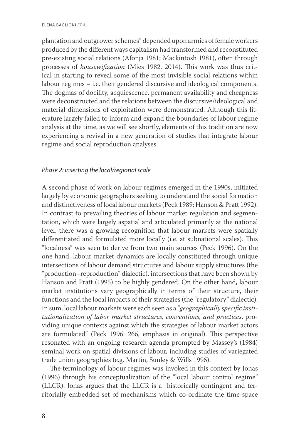plantation and outgrower schemes" depended upon armies of female workers produced by the different ways capitalism had transformed and reconstituted pre-existing social relations (Afonja 1981; Mackintosh 1981), often through processes of *housewifization* (Mies 1982, 2014). This work was thus critical in starting to reveal some of the most invisible social relations within labour regimes – i.e. their gendered discursive and ideological components. The dogmas of docility, acquiescence, permanent availability and cheapness were deconstructed and the relations between the discursive/ideological and material dimensions of exploitation were demonstrated. Although this literature largely failed to inform and expand the boundaries of labour regime analysis at the time, as we will see shortly, elements of this tradition are now experiencing a revival in a new generation of studies that integrate labour regime and social reproduction analyses.

### *Phase 2: inserting the local/regional scale*

A second phase of work on labour regimes emerged in the 1990s, initiated largely by economic geographers seeking to understand the social formation and distinctiveness of local labour markets (Peck 1989; Hanson & Pratt 1992). In contrast to prevailing theories of labour market regulation and segmentation, which were largely aspatial and articulated primarily at the national level, there was a growing recognition that labour markets were spatially differentiated and formulated more locally (i.e. at subnational scales). This "localness" was seen to derive from two main sources (Peck 1996). On the one hand, labour market dynamics are locally constituted through unique intersections of labour demand structures and labour supply structures (the "production–reproduction" dialectic), intersections that have been shown by Hanson and Pratt (1995) to be highly gendered. On the other hand, labour market institutions vary geographically in terms of their structure, their functions and the local impacts of their strategies (the "regulatory" dialectic). In sum, local labour markets were each seen as a "*geographically specific institutionalization of labor market structures, conventions, and practices*, providing unique contexts against which the strategies of labour market actors are formulated" (Peck 1996: 266, emphasis in original). This perspective resonated with an ongoing research agenda prompted by Massey's (1984) seminal work on spatial divisions of labour, including studies of variegated trade union geographies (e.g. Martin, Sunley & Wills 1996).

The terminology of labour regimes was invoked in this context by Jonas (1996) through his conceptualization of the "local labour control regime" (LLCR). Jonas argues that the LLCR is a "historically contingent and territorially embedded set of mechanisms which co-ordinate the time-space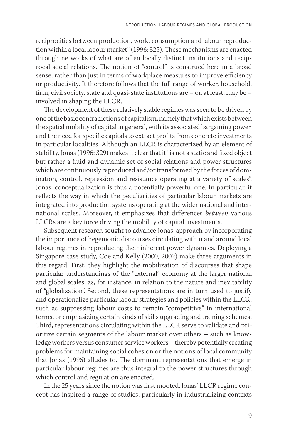reciprocities between production, work, consumption and labour reproduction within a local labour market" (1996: 325). These mechanisms are enacted through networks of what are often locally distinct institutions and reciprocal social relations. The notion of "control" is construed here in a broad sense, rather than just in terms of workplace measures to improve efficiency or productivity. It therefore follows that the full range of worker, household, firm, civil society, state and quasi-state institutions are – or, at least, may be – involved in shaping the LLCR.

The development of these relatively stable regimes was seen to be driven by one of the basic contradictions of capitalism, namely that which exists between the spatial mobility of capital in general, with its associated bargaining power, and the need for specific capitals to extract profits from concrete investments in particular localities. Although an LLCR is characterized by an element of stability, Jonas (1996: 329) makes it clear that it "is not a static and fixed object but rather a fluid and dynamic set of social relations and power structures which are continuously reproduced and/or transformed by the forces of domination, control, repression and resistance operating at a variety of scales". Jonas' conceptualization is thus a potentially powerful one. In particular, it reflects the way in which the peculiarities of particular labour markets are integrated into production systems operating at the wider national and international scales. Moreover, it emphasizes that differences *between* various LLCRs are a key force driving the mobility of capital investments.

Subsequent research sought to advance Jonas' approach by incorporating the importance of hegemonic discourses circulating within and around local labour regimes in reproducing their inherent power dynamics. Deploying a Singapore case study, Coe and Kelly (2000, 2002) make three arguments in this regard. First, they highlight the mobilization of discourses that shape particular understandings of the "external" economy at the larger national and global scales, as, for instance, in relation to the nature and inevitability of "globalization". Second, these representations are in turn used to justify and operationalize particular labour strategies and policies within the LLCR, such as suppressing labour costs to remain "competitive" in international terms, or emphasizing certain kinds of skills upgrading and training schemes. Third, representations circulating within the LLCR serve to validate and prioritize certain segments of the labour market over others – such as knowledge workers versus consumer service workers – thereby potentially creating problems for maintaining social cohesion or the notions of local community that Jonas (1996) alludes to. The dominant representations that emerge in particular labour regimes are thus integral to the power structures through which control and regulation are enacted.

In the 25 years since the notion was first mooted, Jonas' LLCR regime concept has inspired a range of studies, particularly in industrializing contexts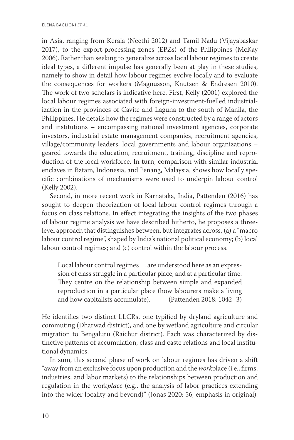in Asia, ranging from Kerala (Neethi 2012) and Tamil Nadu (Vijayabaskar 2017), to the export-processing zones (EPZs) of the Philippines (McKay 2006). Rather than seeking to generalize across local labour regimes to create ideal types, a different impulse has generally been at play in these studies, namely to show in detail how labour regimes evolve locally and to evaluate the consequences for workers (Magnusson, Knutsen & Endresen 2010). The work of two scholars is indicative here. First, Kelly (2001) explored the local labour regimes associated with foreign-investment-fuelled industrialization in the provinces of Cavite and Laguna to the south of Manila, the Philippines. He details how the regimes were constructed by a range of actors and institutions – encompassing national investment agencies, corporate investors, industrial estate management companies, recruitment agencies, village/community leaders, local governments and labour organizations – geared towards the education, recruitment, training, discipline and reproduction of the local workforce. In turn, comparison with similar industrial enclaves in Batam, Indonesia, and Penang, Malaysia, shows how locally specific combinations of mechanisms were used to underpin labour control (Kelly 2002).

Second, in more recent work in Karnataka, India, Pattenden (2016) has sought to deepen theorization of local labour control regimes through a focus on class relations. In effect integrating the insights of the two phases of labour regime analysis we have described hitherto, he proposes a threelevel approach that distinguishes between, but integrates across, (a) a "macro labour control regime", shaped by India's national political economy; (b) local labour control regimes; and (c) control within the labour process.

Local labour control regimes … are understood here as an expression of class struggle in a particular place, and at a particular time. They centre on the relationship between simple and expanded reproduction in a particular place (how labourers make a living and how capitalists accumulate). (Pattenden 2018: 1042–3)

He identifies two distinct LLCRs, one typified by dryland agriculture and commuting (Dharwad district), and one by wetland agriculture and circular migration to Bengaluru (Raichur district). Each was characterized by distinctive patterns of accumulation, class and caste relations and local institutional dynamics.

In sum, this second phase of work on labour regimes has driven a shift "away from an exclusive focus upon production and the *work*place (i.e., firms, industries, and labor markets) to the relationships between production and regulation in the work*place* (e.g., the analysis of labor practices extending into the wider locality and beyond)" (Jonas 2020: 56, emphasis in original).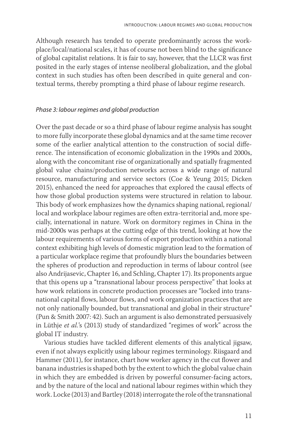Although research has tended to operate predominantly across the workplace/local/national scales, it has of course not been blind to the significance of global capitalist relations. It is fair to say, however, that the LLCR was first posited in the early stages of intense neoliberal globalization, and the global context in such studies has often been described in quite general and contextual terms, thereby prompting a third phase of labour regime research.

#### *Phase 3: labour regimes and global production*

Over the past decade or so a third phase of labour regime analysis has sought to more fully incorporate these global dynamics and at the same time recover some of the earlier analytical attention to the construction of social difference. The intensification of economic globalization in the 1990s and 2000s, along with the concomitant rise of organizationally and spatially fragmented global value chains/production networks across a wide range of natural resource, manufacturing and service sectors (Coe & Yeung 2015; Dicken 2015), enhanced the need for approaches that explored the causal effects of how those global production systems were structured in relation to labour. This body of work emphasizes how the dynamics shaping national, regional/ local and workplace labour regimes are often extra-territorial and, more specially, international in nature. Work on dormitory regimes in China in the mid-2000s was perhaps at the cutting edge of this trend, looking at how the labour requirements of various forms of export production within a national context exhibiting high levels of domestic migration lead to the formation of a particular workplace regime that profoundly blurs the boundaries between the spheres of production and reproduction in terms of labour control (see also Andrijasevic, Chapter 16, and Schling, Chapter 17). Its proponents argue that this opens up a "transnational labour process perspective" that looks at how work relations in concrete production processes are "locked into transnational capital flows, labour flows, and work organization practices that are not only nationally bounded, but transnational and global in their structure" (Pun & Smith 2007: 42). Such an argument is also demonstrated persuasively in Lüthje *et al.*'s (2013) study of standardized "regimes of work" across the global IT industry.

Various studies have tackled different elements of this analytical jigsaw, even if not always explicitly using labour regimes terminology. Riisgaard and Hammer (2011), for instance, chart how worker agency in the cut flower and banana industries is shaped both by the extent to which the global value chain in which they are embedded is driven by powerful consumer-facing actors, and by the nature of the local and national labour regimes within which they work. Locke (2013) and Bartley (2018) interrogate the role of the transnational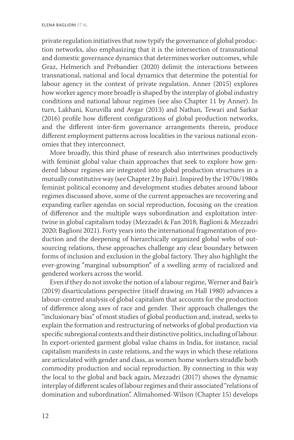private regulation initiatives that now typify the governance of global production networks, also emphasizing that it is the intersection of transnational and domestic governance dynamics that determines worker outcomes, while Graz, Helmerich and Prébandier (2020) delimit the interactions between transnational, national and local dynamics that determine the potential for labour agency in the context of private regulation. Anner (2015) explores how worker agency more broadly is shaped by the interplay of global industry conditions and national labour regimes (see also Chapter 11 by Anner). In turn, Lakhani, Kuruvilla and Avgar (2013) and Nathan, Tewari and Sarkar (2016) profile how different configurations of global production networks, and the different inter-firm governance arrangements therein, produce different employment patterns across localities in the various national economies that they interconnect.

More broadly, this third phase of research also intertwines productively with feminist global value chain approaches that seek to explore how gendered labour regimes are integrated into global production structures in a mutually constitutive way (see Chapter 2 by Bair). Inspired by the 1970s/1980s feminist political economy and development studies debates around labour regimes discussed above, some of the current approaches are recovering and expanding earlier agendas on social reproduction, focusing on the creation of difference and the multiple ways subordination and exploitation intertwine in global capitalism today (Mezzadri & Fan 2018; Baglioni & Mezzadri 2020; Baglioni 2021). Forty years into the international fragmentation of production and the deepening of hierarchically organized global webs of outsourcing relations, these approaches challenge any clear boundary between forms of inclusion and exclusion in the global factory. They also highlight the ever-growing "marginal subsumption" of a swelling army of racialized and gendered workers across the world.

Even if they do not invoke the notion of a labour regime, Werner and Bair's (2019) disarticulations perspective (itself drawing on Hall 1980) advances a labour-centred analysis of global capitalism that accounts for the production of difference along axes of race and gender. Their approach challenges the "inclusionary bias" of most studies of global production and, instead, seeks to explain the formation and restructuring of networks of global production via specific subregional contexts and their distinctive politics, including of labour. In export-oriented garment global value chains in India, for instance, racial capitalism manifests in caste relations, and the ways in which these relations are articulated with gender and class, as women home workers straddle both commodity production and social reproduction. By connecting in this way the local to the global and back again, Mezzadri (2017) shows the dynamic interplay of different scales of labour regimes and their associated "relations of domination and subordination". Alimahomed-Wilson (Chapter 15) develops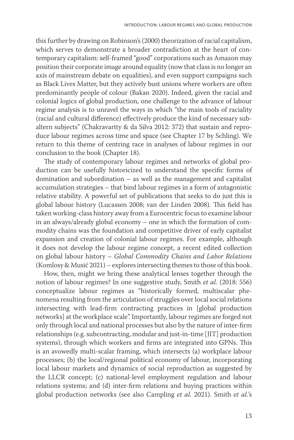this further by drawing on Robinson's (2000) theorization of racial capitalism, which serves to demonstrate a broader contradiction at the heart of contemporary capitalism: self-framed "good" corporations such as Amazon may position their corporate image around equality (now that class is no longer an axis of mainstream debate on equalities), and even support campaigns such as Black Lives Matter, but they actively bust unions where workers are often predominantly people of colour (Bakan 2020). Indeed, given the racial and colonial logics of global production, one challenge to the advance of labour regime analysis is to unravel the ways in which "the main tools of raciality (racial and cultural difference) effectively produce the kind of necessary subaltern subjects" (Chakravartty & da Silva 2012: 372) that sustain and reproduce labour regimes across time and space (see Chapter 17 by Schling). We return to this theme of centring race in analyses of labour regimes in our conclusion to the book (Chapter 18).

The study of contemporary labour regimes and networks of global production can be usefully historicized to understand the specific forms of domination and subordination – as well as the management and capitalist accumulation strategies – that bind labour regimes in a form of antagonistic relative stability. A powerful set of publications that seeks to do just this is global labour history (Lucassen 2008; van der Linden 2008). This field has taken working-class history away from a Eurocentric focus to examine labour in an always/already global economy – one in which the formation of commodity chains was the foundation and competitive driver of early capitalist expansion and creation of colonial labour regimes. For example, although it does not develop the labour regime concept, a recent edited collection on global labour history – *Global Commodity Chains and Labor Relations* (Komlosy & Musić 2021) – explores intersecting themes to those of this book.

How, then, might we bring these analytical lenses together through the notion of labour regimes? In one suggestive study, Smith *et al.* (2018: 556) conceptualize labour regimes as "historically formed, multiscalar phenomena resulting from the articulation of struggles over local social relations intersecting with lead-firm contracting practices in [global production networks] at the workplace scale". Importantly, labour regimes are forged not only through local and national processes but also by the nature of inter-firm relationships (e.g. subcontracting, modular and just-in-time [JIT] production systems), through which workers and firms are integrated into GPNs. This is an avowedly multi-scalar framing, which intersects (a) workplace labour processes; (b) the local/regional political economy of labour, incorporating local labour markets and dynamics of social reproduction as suggested by the LLCR concept; (c) national-level employment regulation and labour relations systems; and (d) inter-firm relations and buying practices within global production networks (see also Campling *et al.* 2021). Smith *et al.*'s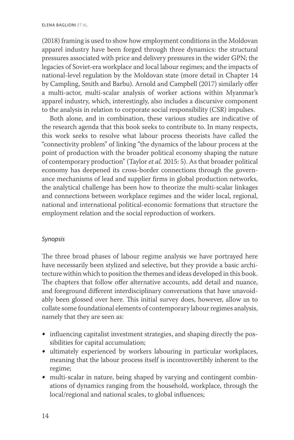(2018) framing is used to show how employment conditions in the Moldovan apparel industry have been forged through three dynamics: the structural pressures associated with price and delivery pressures in the wider GPN; the legacies of Soviet-era workplace and local labour regimes; and the impacts of national-level regulation by the Moldovan state (more detail in Chapter 14 by Campling, Smith and Barbu). Arnold and Campbell (2017) similarly offer a multi-actor, multi-scalar analysis of worker actions within Myanmar's apparel industry, which, interestingly, also includes a discursive component to the analysis in relation to corporate social responsibility (CSR) impulses.

Both alone, and in combination, these various studies are indicative of the research agenda that this book seeks to contribute to. In many respects, this work seeks to resolve what labour process theorists have called the "connectivity problem" of linking "the dynamics of the labour process at the point of production with the broader political economy shaping the nature of contemporary production" (Taylor *et al.* 2015: 5). As that broader political economy has deepened its cross-border connections through the governance mechanisms of lead and supplier firms in global production networks, the analytical challenge has been how to theorize the multi-scalar linkages and connections between workplace regimes and the wider local, regional, national and international political-economic formations that structure the employment relation and the social reproduction of workers.

### *Synopsis*

The three broad phases of labour regime analysis we have portrayed here have necessarily been stylized and selective, but they provide a basic architecture within which to position the themes and ideas developed in this book. The chapters that follow offer alternative accounts, add detail and nuance, and foreground different interdisciplinary conversations that have unavoidably been glossed over here. This initial survey does, however, allow us to collate some foundational elements of contemporary labour regimes analysis, namely that they are seen as:

- influencing capitalist investment strategies, and shaping directly the possibilities for capital accumulation;
- ultimately experienced by workers labouring in particular workplaces, meaning that the labour process itself is incontrovertibly inherent to the regime;
- multi-scalar in nature, being shaped by varying and contingent combinations of dynamics ranging from the household, workplace, through the local/regional and national scales, to global influences;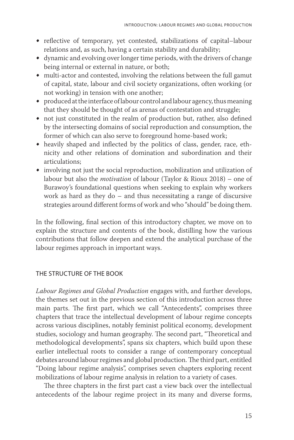- reflective of temporary, yet contested, stabilizations of capital–labour relations and, as such, having a certain stability and durability;
- dynamic and evolving over longer time periods, with the drivers of change being internal or external in nature, or both;
- multi-actor and contested, involving the relations between the full gamut of capital, state, labour and civil society organizations, often working (or not working) in tension with one another;
- produced at the interface of labour control and labour agency, thus meaning that they should be thought of as arenas of contestation and struggle;
- not just constituted in the realm of production but, rather, also defined by the intersecting domains of social reproduction and consumption, the former of which can also serve to foreground home-based work;
- heavily shaped and inflected by the politics of class, gender, race, ethnicity and other relations of domination and subordination and their articulations;
- involving not just the social reproduction, mobilization and utilization of labour but also the *motivation* of labour (Taylor & Rioux 2018) – one of Burawoy's foundational questions when seeking to explain why workers work as hard as they do – and thus necessitating a range of discursive strategies around different forms of work and who "should" be doing them.

In the following, final section of this introductory chapter, we move on to explain the structure and contents of the book, distilling how the various contributions that follow deepen and extend the analytical purchase of the labour regimes approach in important ways.

### THE STRUCTURE OF THE BOOK

*Labour Regimes and Global Production* engages with, and further develops, the themes set out in the previous section of this introduction across three main parts. The first part, which we call "Antecedents", comprises three chapters that trace the intellectual development of labour regime concepts across various disciplines, notably feminist political economy, development studies, sociology and human geography. The second part, "Theoretical and methodological developments", spans six chapters, which build upon these earlier intellectual roots to consider a range of contemporary conceptual debates around labour regimes and global production. The third part, entitled "Doing labour regime analysis", comprises seven chapters exploring recent mobilizations of labour regime analysis in relation to a variety of cases.

The three chapters in the first part cast a view back over the intellectual antecedents of the labour regime project in its many and diverse forms,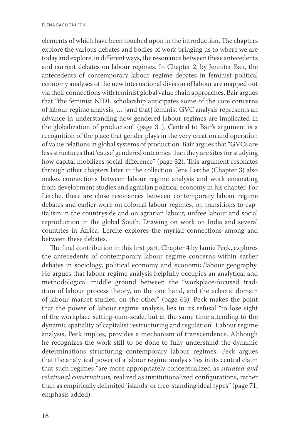elements of which have been touched upon in the introduction. The chapters explore the various debates and bodies of work bringing us to where we are today and explore, in different ways, the resonance between these antecedents and current debates on labour regimes. In Chapter 2, by Jennifer Bair, the antecedents of contemporary labour regime debates in feminist political economy analyses of the new international division of labour are mapped out via their connections with feminist global value chain approaches. Bair argues that "the feminist NIDL scholarship anticipates some of the core concerns of labour regime analysis, … [and that] feminist GVC analysis represents an advance in understanding how gendered labour regimes are implicated in the globalization of production" (page 31). Central to Bair's argument is a recognition of the place that gender plays in the very creation and operation of value relations in global systems of production. Bair argues that "GVCs are less structures that 'cause' gendered outcomes than they are sites for studying how capital mobilizes social difference" (page 32). This argument resonates through other chapters later in the collection. Jens Lerche (Chapter 3) also makes connections between labour regime analysis and work emanating from development studies and agrarian political economy in his chapter. For Lerche, there are close resonances between contemporary labour regime debates and earlier work on colonial labour regimes, on transitions to capitalism in the countryside and on agrarian labour, unfree labour and social reproduction in the global South. Drawing on work on India and several countries in Africa, Lerche explores the myriad connections among and between these debates.

The final contribution in this first part, Chapter 4 by Jamie Peck, explores the antecedents of contemporary labour regime concerns within earlier debates in sociology, political economy and economic/labour geography. He argues that labour regime analysis helpfully occupies an analytical and methodological middle ground between the "workplace-focused tradition of labour process theory, on the one hand, and the eclectic domain of labour market studies, on the other" (page 63). Peck makes the point that the power of labour regime analysis lies in its refusal "to lose sight of the workplace setting-cum-scale, but at the same time attending to the dynamic spatiality of capitalist restructuring and regulation". Labour regime analysis, Peck implies, provides a mechanism of transcendence. Although he recognizes the work still to be done to fully understand the dynamic determinations structuring contemporary labour regimes, Peck argues that the analytical power of a labour regime analysis lies in its central claim that such regimes "are more appropriately conceptualized as *situated and relational constructions*, realized as institutionalized configurations, rather than as empirically delimited 'islands' or free-standing ideal types" (page 71; emphasis added).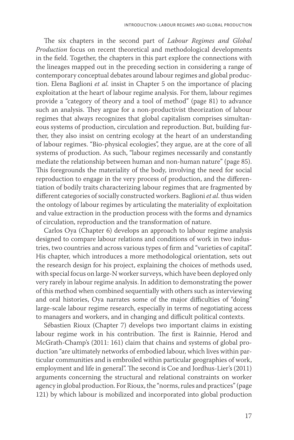The six chapters in the second part of *Labour Regimes and Global Production* focus on recent theoretical and methodological developments in the field. Together, the chapters in this part explore the connections with the lineages mapped out in the preceding section in considering a range of contemporary conceptual debates around labour regimes and global production. Elena Baglioni *et al.* insist in Chapter 5 on the importance of placing exploitation at the heart of labour regime analysis. For them, labour regimes provide a "category of theory and a tool of method" (page 81) to advance such an analysis. They argue for a non-productivist theorization of labour regimes that always recognizes that global capitalism comprises simultaneous systems of production, circulation and reproduction. But, building further, they also insist on centring ecology at the heart of an understanding of labour regimes. "Bio-physical ecologies", they argue, are at the core of all systems of production. As such, "labour regimes necessarily and constantly mediate the relationship between human and non-human nature" (page 85). This foregrounds the materiality of the body, involving the need for social reproduction to engage in the very process of production, and the differentiation of bodily traits characterizing labour regimes that are fragmented by different categories of socially constructed workers. Baglioni *et al*. thus widen the ontology of labour regimes by articulating the materiality of exploitation and value extraction in the production process with the forms and dynamics of circulation, reproduction and the transformation of nature.

Carlos Oya (Chapter 6) develops an approach to labour regime analysis designed to compare labour relations and conditions of work in two industries, two countries and across various types of firm and "varieties of capital". His chapter, which introduces a more methodological orientation, sets out the research design for his project, explaining the choices of methods used, with special focus on large-N worker surveys, which have been deployed only very rarely in labour regime analysis. In addition to demonstrating the power of this method when combined sequentially with others such as interviewing and oral histories, Oya narrates some of the major difficulties of "doing" large-scale labour regime research, especially in terms of negotiating access to managers and workers, and in changing and difficult political contexts.

Sébastien Rioux (Chapter 7) develops two important claims in existing labour regime work in his contribution. The first is Rainnie, Herod and McGrath-Champ's (2011: 161) claim that chains and systems of global production "are ultimately networks of embodied labour, which lives within particular communities and is embroiled within particular geographies of work, employment and life in general". The second is Coe and Jordhus-Lier's (2011) arguments concerning the structural and relational constraints on worker agency in global production. For Rioux, the "norms, rules and practices" (page 121) by which labour is mobilized and incorporated into global production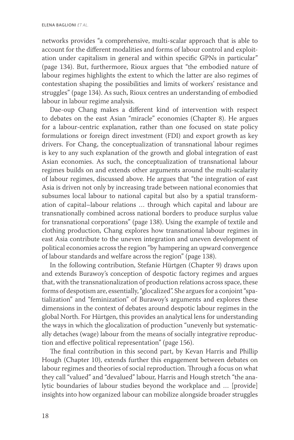networks provides "a comprehensive, multi-scalar approach that is able to account for the different modalities and forms of labour control and exploitation under capitalism in general and within specific GPNs in particular" (page 134). But, furthermore, Rioux argues that "the embodied nature of labour regimes highlights the extent to which the latter are also regimes of contestation shaping the possibilities and limits of workers' resistance and struggles" (page 134). As such, Rioux centres an understanding of embodied labour in labour regime analysis.

Dae-oup Chang makes a different kind of intervention with respect to debates on the east Asian "miracle" economies (Chapter 8). He argues for a labour-centric explanation, rather than one focused on state policy formulations or foreign direct investment (FDI) and export growth as key drivers. For Chang, the conceptualization of transnational labour regimes is key to any such explanation of the growth and global integration of east Asian economies. As such, the conceptualization of transnational labour regimes builds on and extends other arguments around the multi-scalarity of labour regimes, discussed above. He argues that "the integration of east Asia is driven not only by increasing trade between national economies that subsumes local labour to national capital but also by a spatial transformation of capital–labour relations … through which capital and labour are transnationally combined across national borders to produce surplus value for transnational corporations" (page 138). Using the example of textile and clothing production, Chang explores how transnational labour regimes in east Asia contribute to the uneven integration and uneven development of political economies across the region "by hampering an upward convergence of labour standards and welfare across the region" (page 138).

In the following contribution, Stefanie Hürtgen (Chapter 9) draws upon and extends Burawoy's conception of despotic factory regimes and argues that, with the transnationalization of production relations across space, these forms of despotism are, essentially, "glocalized". She argues for a conjoint "spatialization" and "feminization" of Burawoy's arguments and explores these dimensions in the context of debates around despotic labour regimes in the global North. For Hürtgen, this provides an analytical lens for understanding the ways in which the glocalization of production "unevenly but systematically detaches (wage) labour from the means of socially integrative reproduction and effective political representation" (page 156).

The final contribution in this second part, by Kevan Harris and Phillip Hough (Chapter 10), extends further this engagement between debates on labour regimes and theories of social reproduction. Through a focus on what they call "valued" and "devalued" labour, Harris and Hough stretch "the analytic boundaries of labour studies beyond the workplace and … [provide] insights into how organized labour can mobilize alongside broader struggles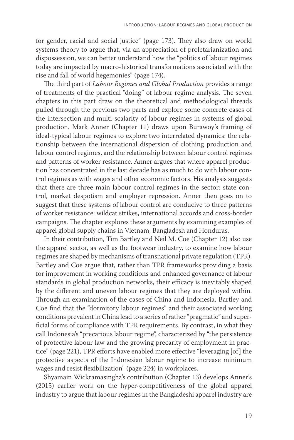for gender, racial and social justice" (page 173). They also draw on world systems theory to argue that, via an appreciation of proletarianization and dispossession, we can better understand how the "politics of labour regimes today are impacted by macro-historical transformations associated with the rise and fall of world hegemonies" (page 174).

The third part of *Labour Regimes and Global Production* provides a range of treatments of the practical "doing" of labour regime analysis. The seven chapters in this part draw on the theoretical and methodological threads pulled through the previous two parts and explore some concrete cases of the intersection and multi-scalarity of labour regimes in systems of global production. Mark Anner (Chapter 11) draws upon Burawoy's framing of ideal-typical labour regimes to explore two interrelated dynamics: the relationship between the international dispersion of clothing production and labour control regimes, and the relationship between labour control regimes and patterns of worker resistance. Anner argues that where apparel production has concentrated in the last decade has as much to do with labour control regimes as with wages and other economic factors. His analysis suggests that there are three main labour control regimes in the sector: state control, market despotism and employer repression. Anner then goes on to suggest that these systems of labour control are conducive to three patterns of worker resistance: wildcat strikes, international accords and cross-border campaigns. The chapter explores these arguments by examining examples of apparel global supply chains in Vietnam, Bangladesh and Honduras.

In their contribution, Tim Bartley and Neil M. Coe (Chapter 12) also use the apparel sector, as well as the footwear industry, to examine how labour regimes are shaped by mechanisms of transnational private regulation (TPR). Bartley and Coe argue that, rather than TPR frameworks providing a basis for improvement in working conditions and enhanced governance of labour standards in global production networks, their efficacy is inevitably shaped by the different and uneven labour regimes that they are deployed within. Through an examination of the cases of China and Indonesia, Bartley and Coe find that the "dormitory labour regimes" and their associated working conditions prevalent in China lead to a series of rather "pragmatic" and superficial forms of compliance with TPR requirements. By contrast, in what they call Indonesia's "precarious labour regime", characterized by "the persistence of protective labour law and the growing precarity of employment in practice" (page 221), TPR efforts have enabled more effective "leveraging [of] the protective aspects of the Indonesian labour regime to increase minimum wages and resist flexibilization" (page 224) in workplaces.

Shyamain Wickramasingha's contribution (Chapter 13) develops Anner's (2015) earlier work on the hyper-competitiveness of the global apparel industry to argue that labour regimes in the Bangladeshi apparel industry are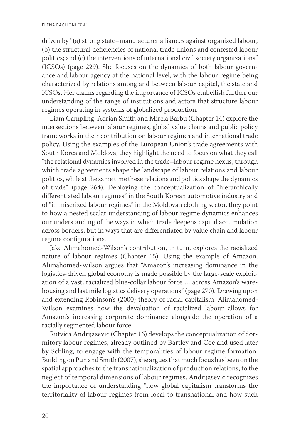driven by "(a) strong state–manufacturer alliances against organized labour; (b) the structural deficiencies of national trade unions and contested labour politics; and (c) the interventions of international civil society organizations" (ICSOs) (page 229). She focuses on the dynamics of both labour governance and labour agency at the national level, with the labour regime being characterized by relations among and between labour, capital, the state and ICSOs. Her claims regarding the importance of ICSOs embellish further our understanding of the range of institutions and actors that structure labour regimes operating in systems of globalized production.

Liam Campling, Adrian Smith and Mirela Barbu (Chapter 14) explore the intersections between labour regimes, global value chains and public policy frameworks in their contribution on labour regimes and international trade policy. Using the examples of the European Union's trade agreements with South Korea and Moldova, they highlight the need to focus on what they call "the relational dynamics involved in the trade–labour regime nexus, through which trade agreements shape the landscape of labour relations and labour politics, while at the same time these relations and politics shape the dynamics of trade" (page 264). Deploying the conceptualization of "hierarchically differentiated labour regimes" in the South Korean automotive industry and of "immiserized labour regimes" in the Moldovan clothing sector, they point to how a nested scalar understanding of labour regime dynamics enhances our understanding of the ways in which trade deepens capital accumulation across borders, but in ways that are differentiated by value chain and labour regime configurations.

Jake Alimahomed-Wilson's contribution, in turn, explores the racialized nature of labour regimes (Chapter 15). Using the example of Amazon, Alimahomed-Wilson argues that "Amazon's increasing dominance in the logistics-driven global economy is made possible by the large-scale exploitation of a vast, racialized blue-collar labour force … across Amazon's warehousing and last mile logistics delivery operations" (page 270). Drawing upon and extending Robinson's (2000) theory of racial capitalism, Alimahomed-Wilson examines how the devaluation of racialized labour allows for Amazon's increasing corporate dominance alongside the operation of a racially segmented labour force.

Rutvica Andrijasevic (Chapter 16) develops the conceptualization of dormitory labour regimes, already outlined by Bartley and Coe and used later by Schling, to engage with the temporalities of labour regime formation. Building on Pun and Smith (2007), she argues that much focus has been on the spatial approaches to the transnationalization of production relations, to the neglect of temporal dimensions of labour regimes. Andrijasevic recognizes the importance of understanding "how global capitalism transforms the territoriality of labour regimes from local to transnational and how such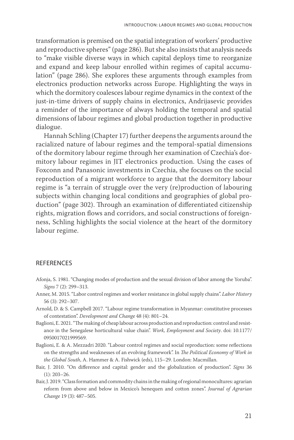transformation is premised on the spatial integration of workers' productive and reproductive spheres" (page 286). But she also insists that analysis needs to "make visible diverse ways in which capital deploys time to reorganize and expand and keep labour enrolled within regimes of capital accumulation" (page 286). She explores these arguments through examples from electronics production networks across Europe. Highlighting the ways in which the dormitory coalesces labour regime dynamics in the context of the just-in-time drivers of supply chains in electronics, Andrijasevic provides a reminder of the importance of always holding the temporal and spatial dimensions of labour regimes and global production together in productive dialogue.

Hannah Schling (Chapter 17) further deepens the arguments around the racialized nature of labour regimes and the temporal-spatial dimensions of the dormitory labour regime through her examination of Czechia's dormitory labour regimes in JIT electronics production. Using the cases of Foxconn and Panasonic investments in Czechia, she focuses on the social reproduction of a migrant workforce to argue that the dormitory labour regime is "a terrain of struggle over the very (re)production of labouring subjects within changing local conditions and geographies of global production" (page 302). Through an examination of differentiated citizenship rights, migration flows and corridors, and social constructions of foreignness, Schling highlights the social violence at the heart of the dormitory labour regime.

#### REFERENCES

- Afonja, S. 1981. "Changing modes of production and the sexual division of labor among the Yoruba". *Signs* 7 (2): 299–313.
- Anner, M. 2015. "Labor control regimes and worker resistance in global supply chains". *Labor History* 56 (3): 292–307.
- Arnold, D. & S. Campbell 2017. "Labour regime transformation in Myanmar: constitutive processes of contestation". *Development and Change* 48 (4): 801–24.
- Baglioni, E. 2021. "The making of cheap labour across production and reproduction: control and resistance in the Senegalese horticultural value chain". *Work, Employment and Society*. doi: 10.1177/ 0950017021999569.
- Baglioni, E. & A. Mezzadri 2020. "Labour control regimes and social reproduction: some reflections on the strengths and weaknesses of an evolving framework". In *The Political Economy of Work in the Global South*, A. Hammer & A. Fishwick (eds), 115–29. London: Macmillan.
- Bair, J. 2010. "On difference and capital: gender and the globalization of production". *Signs* 36 (1): 203–26.
- Bair, J. 2019. "Class formation and commodity chains in the making of regional monocultures: agrarian reform from above and below in Mexico's henequen and cotton zones". *Journal of Agrarian Change* 19 (3): 487–505.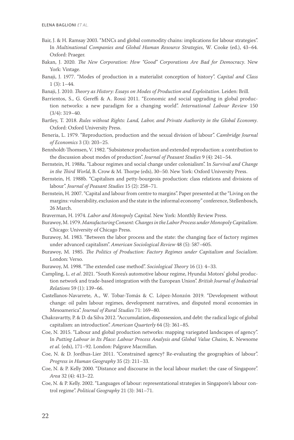- Bair, J. & H. Ramsay 2003. "MNCs and global commodity chains: implications for labour strategies". In *Multinational Companies and Global Human Resource Strategies*, W. Cooke (ed.), 43–64. Oxford: Praeger.
- Bakan, J. 2020. *The New Corporation: How "Good" Corporations Are Bad for Democracy*. New York: Vintage.
- Banaji, J. 1977. "Modes of production in a materialist conception of history". *Capital and Class* 1 (3): 1–44.
- Banaji, J. 2010. *Theory as History: Essays on Modes of Production and Exploitation*. Leiden: Brill.
- Barrientos, S., G. Gereffi & A. Rossi 2011. "Economic and social upgrading in global production networks: a new paradigm for a changing world". *International Labour Review* 150 (3/4): 319–40.
- Bartley, T. 2018. *Rules without Rights: Land, Labor, and Private Authority in the Global Economy*. Oxford: Oxford University Press.
- Beneria, L. 1979. "Reproduction, production and the sexual division of labour". *Cambridge Journal of Economics* 3 (3): 203–25.
- Bennholdt-Thomsen, V. 1982. "Subsistence production and extended reproduction: a contribution to the discussion about modes of production". *Journal of Peasant Studies* 9 (4): 241–54.
- Bernstein, H. 1988a. "Labour regimes and social change under colonialism". In *Survival and Change in the Third World*, B. Crow & M. Thorpe (eds), 30–50. New York: Oxford University Press.
- Bernstein, H. 1988b. "Capitalism and petty-bourgeois production: class relations and divisions of labour". *Journal of Peasant Studies* 15 (2): 258–71.
- Bernstein, H. 2007. "Capital and labour from centre to margins". Paper presented at the "Living on the margins: vulnerability, exclusion and the state in the informal economy" conference, Stellenbosch, 26 March.
- Braverman, H. 1974. *Labor and Monopoly Capital.* New York: Monthly Review Press.
- Burawoy, M. 1979. *Manufacturing Consent: Changes in the Labor Process under Monopoly Capitalism*. Chicago: University of Chicago Press.
- Burawoy, M. 1983. "Between the labor process and the state: the changing face of factory regimes under advanced capitalism". *American Sociological Review* 48 (5): 587–605.
- Burawoy, M. 1985. *The Politics of Production: Factory Regimes under Capitalism and Socialism*. London: Verso.
- Burawoy, M. 1998. "The extended case method". *Sociological Theory* 16 (1): 4–33.
- Campling, L. *et al*. 2021. "South Korea's automotive labour regime, Hyundai Motors' global production network and trade-based integration with the European Union". *British Journal of Industrial Relations* 59 (1): 139–66.
- Castellanos-Navarrete, A., W. Tobar-Tomás & C. López-Monzón 2019. "Development without change: oil palm labour regimes, development narratives, and disputed moral economies in Mesoamerica". *Journal of Rural Studies* 71: 169–80.
- Chakravartty, P. & D. da Silva 2012. "Accumulation, dispossession, and debt: the radical logic of global capitalism: an introduction". *American Quarterly* 64 (3): 361–85.
- Coe, N. 2015. "Labour and global production networks: mapping variegated landscapes of agency". In *Putting Labour in Its Place: Labour Process Analysis and Global Value Chains*, K. Newsome *et al*. (eds), 171–92. London: Palgrave Macmillan.
- Coe, N. & D. Jordhus-Lier 2011. "Constrained agency? Re-evaluating the geographies of labour". *Progress in Human Geography* 35 (2): 211–33.
- Coe, N. & P. Kelly 2000. "Distance and discourse in the local labour market: the case of Singapore". *Area* 32 (4): 413–22.
- Coe, N. & P. Kelly. 2002. "Languages of labour: representational strategies in Singapore's labour control regime". *Political Geography* 21 (3): 341–71.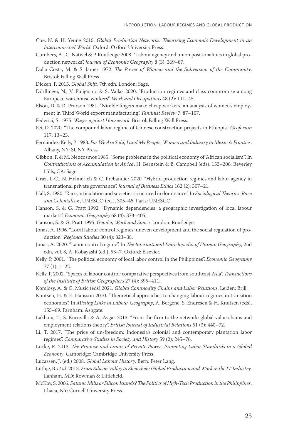- Coe, N. & H. Yeung 2015. *Global Production Networks: Theorizing Economic Development in an Interconnected World*. Oxford: Oxford University Press.
- Cumbers, A., C. Nativel & P. Routledge 2008. "Labour agency and union positionalities in global production networks". *Journal of Economic Geography* 8 (3): 369–87.
- Dalla Costa, M. & S. James 1972. *The Power of Women and the Subversion of the Community*. Bristol: Falling Wall Press.

Dicken, P. 2015. *Global Shift*, 7th edn. London: Sage.

- Dörflinger, N., V. Pulignano & S. Vallas 2020. "Production regimes and class compromise among European warehouse workers". *Work and Occupations* 48 (2): 111–45.
- Elson, D. & R. Pearson 1981. "Nimble fingers make cheap workers: an analysis of women's employment in Third World export manufacturing". *Feminist Review* 7: 87–107.
- Federici, S. 1975. *Wages against Housework*. Bristol: Falling Wall Press.
- Fei, D. 2020. "The compound labor regime of Chinese construction projects in Ethiopia". *Geoforum* 117: 13–23.
- Fernández-Kelly, P. 1983. *For We Are Sold, I and My People: Women and Industry in Mexico's Frontier*. Albany, NY: SUNY Press.
- Gibbon, P. & M. Neocosmos 1985. "Some problems in the political economy of 'African socialism'". In *Contradictions of Accumulation in Africa*, H. Bernstein & B. Campbell (eds), 153–206. Beverley Hills, CA: Sage.
- Graz, J.-C., N. Helmerich & C. Prébandier 2020. "Hybrid production regimes and labor agency in transnational private governance". *Journal of Business Ethics* 162 (2): 307–21.
- Hall, S. 1980. "Race, articulation and societies structured in dominance". In *Sociological Theories: Race and Colonialism*, UNESCO (ed.), 305–45. Paris: UNESCO.
- Hanson, S. & G. Pratt 1992. "Dynamic dependencies: a geographic investigation of local labour markets". *Economic Geography* 68 (4): 373–405.
- Hanson, S. & G. Pratt 1995. *Gender, Work and Space*. London: Routledge.
- Jonas, A. 1996. "Local labour control regimes: uneven development and the social regulation of production". *Regional Studies* 30 (4): 323–38.
- Jonas, A. 2020. "Labor control regime". In *The International Encyclopedia of Human Geography*, 2nd edn, vol. 8, A. Kobayashi (ed.), 53–7. Oxford: Elsevier.
- Kelly, P. 2001. "The political economy of local labor control in the Philippines". *Economic Geography* 77 (1): 1–22.
- Kelly, P. 2002. "Spaces of labour control: comparative perspectives from southeast Asia". *Transactions of the Institute of British Geographers* 27 (4): 395–411.
- Komlosy, A. & G. Musić (eds) 2021. *Global Commodity Chains and Labor Relations*. Leiden: Brill.
- Knutsen, H. & E. Hansson 2010. "Theoretical approaches to changing labour regimes in transition economies". In *Missing Links in Labour Geography*, A. Bergene, S. Endresen & H. Knutsen (eds), 155–69. Farnham: Ashgate.
- Lakhani, T., S. Kuruvilla & A. Avgar 2013. "From the firm to the network: global value chains and employment relations theory". *British Journal of Industrial Relations* 51 (3): 440–72.
- Li, T. 2017. "The price of un/freedom: Indonesia's colonial and contemporary plantation labor regimes". *Comparative Studies in Society and History* 59 (2): 245–76.
- Locke, R. 2013. *The Promise and Limits of Private Power: Promoting Labor Standards in a Global Economy*. Cambridge: Cambridge University Press.
- Lucassen, J. (ed.) 2008. *Global Labour History*. Bern: Peter Lang.
- Lüthje, B. *et al*. 2013. *From Silicon Valley to Shenzhen: Global Production and Work in the IT Industry*. Lanham, MD: Rowman & Littlefield.
- McKay, S. 2006. *Satanic Mills or Silicon Islands? The Politics of High-Tech Production in the Philippines*. Ithaca, NY: Cornell University Press.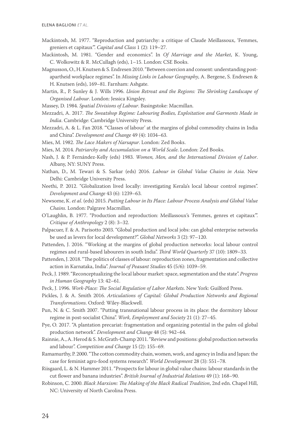- Mackintosh, M. 1977. "Reproduction and patriarchy: a critique of Claude Meillassoux, 'Femmes, greniers et capitaux'". *Capital and Class* 1 (2): 119–27.
- Mackintosh, M. 1981. "Gender and economics". In *Of Marriage and the Market*, K. Young, C. Wolkowitz & R. McCullagh (eds), 1–15. London: CSE Books.
- Magnusson, O., H. Knutsen & S. Endresen 2010. "Between coercion and consent: understanding postapartheid workplace regimes". In *Missing Links in Labour Geography*, A. Bergene, S. Endresen & H. Knutsen (eds), 169–81. Farnham: Ashgate.
- Martin, R., P. Sunley & J. Wills 1996. *Union Retreat and the Regions: The Shrinking Landscape of Organised Labour*. London: Jessica Kingsley.
- Massey, D. 1984. *Spatial Divisions of Labour*. Basingstoke: Macmillan.
- Mezzadri, A. 2017. *The Sweatshop Regime: Labouring Bodies, Exploitation and Garments Made in India*. Cambridge: Cambridge University Press.
- Mezzadri, A. & L. Fan 2018. "'Classes of labour' at the margins of global commodity chains in India and China". *Development and Change* 49 (4): 1034–63.
- Mies, M. 1982. *The Lace Makers of Narsapur*. London: Zed Books.
- Mies, M. 2014. *Patriarchy and Accumulation on a World Scale*. London: Zed Books.
- Nash, J. & P. Fernández-Kelly (eds) 1983. *Women, Men, and the International Division of Labor*. Albany, NY: SUNY Press.
- Nathan, D., M. Tewari & S. Sarkar (eds) 2016. *Labour in Global Value Chains in Asia*. New Delhi: Cambridge University Press.
- Neethi, P. 2012. "Globalization lived locally: investigating Kerala's local labour control regimes". *Development and Change* 43 (6): 1239–63.
- Newsome, K. *et al*. (eds) 2015. *Putting Labour in Its Place: Labour Process Analysis and Global Value Chains*. London: Palgrave Macmillan.
- O'Laughlin, B. 1977. "Production and reproduction: Meillassoux's 'Femmes, genres et capitaux'". *Critique of Anthropology* 2 (8): 3–32.
- Palpacuer, F. & A. Parisotto 2003. "Global production and local jobs: can global enterprise networks be used as levers for local development?". *Global Networks* 3 (2): 97–120.
- Pattenden, J. 2016. "Working at the margins of global production networks: local labour control regimes and rural-based labourers in south India". *Third World Quarterly* 37 (10): 1809–33.
- Pattenden, J. 2018. "The politics of classes of labour: reproduction zones, fragmentation and collective action in Karnataka, India". *Journal of Peasant Studies* 45 (5/6): 1039–59.
- Peck, J. 1989. "Reconceptualizing the local labour market: space, segmentation and the state". *Progress in Human Geography* 13: 42–61.
- Peck, J. 1996. *Work-Place: The Social Regulation of Labor Markets*. New York: Guilford Press.
- Pickles, J. & A. Smith 2016. *Articulations of Capital: Global Production Networks and Regional Transformations*. Oxford: Wiley-Blackwell.
- Pun, N. & C. Smith 2007. "Putting transnational labour process in its place: the dormitory labour regime in post-socialist China". *Work, Employment and Society* 21 (1): 27–45.
- Pye, O. 2017. "A plantation precariat: fragmentation and organizing potential in the palm oil global production network". *Development and Change* 48 (5): 942–64.
- Rainnie, A., A. Herod & S. McGrath-Champ 2011. "Review and positions: global production networks and labour". *Competition and Change* 15 (2): 155–69.
- Ramamurthy, P. 2000. "The cotton commodity chain, women, work, and agency in India and Japan: the case for feminist agro-food systems research". *World Development* 28 (3): 551–78.
- Riisgaard, L. & N. Hammer 2011. "Prospects for labour in global value chains: labour standards in the cut flower and banana industries". *British Journal of Industrial Relations* 49 (1): 168–90.
- Robinson, C. 2000. *Black Marxism: The Making of the Black Radical Tradition*, 2nd edn. Chapel Hill, NC: University of North Carolina Press.